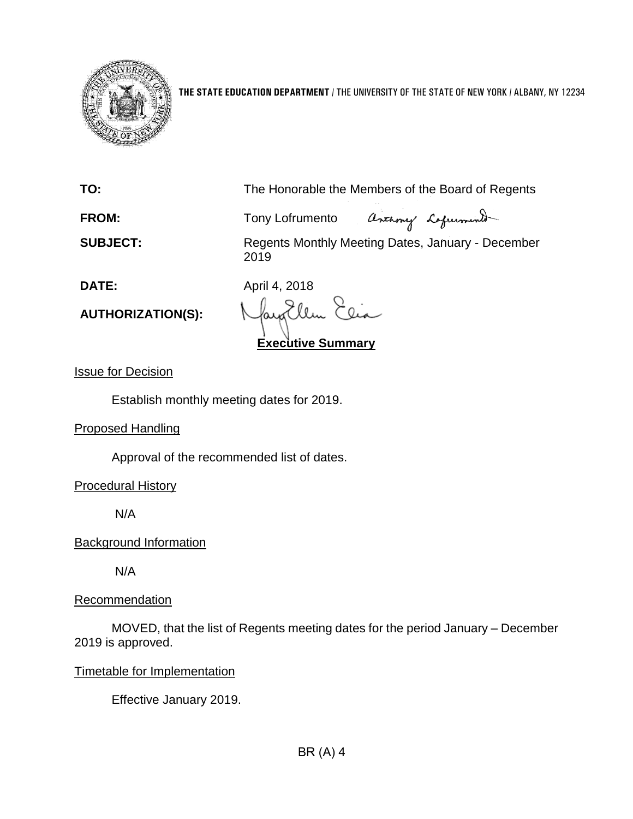

**THE STATE EDUCATION DEPARTMENT** / THE UNIVERSITY OF THE STATE OF NEW YORK / ALBANY, NY 12234

**TO:** The Honorable the Members of the Board of Regents

assumy Lafurment **FROM:** Tony Lofrumento

**SUBJECT:** Regents Monthly Meeting Dates, January - December 2019

**DATE:** April 4, 2018

**AUTHORIZATION(S):**

faya Clin **Executive Summary**

Issue for Decision

Establish monthly meeting dates for 2019.

Proposed Handling

Approval of the recommended list of dates.

Procedural History

N/A

Background Information

N/A

**Recommendation** 

MOVED, that the list of Regents meeting dates for the period January – December 2019 is approved.

Timetable for Implementation

Effective January 2019.